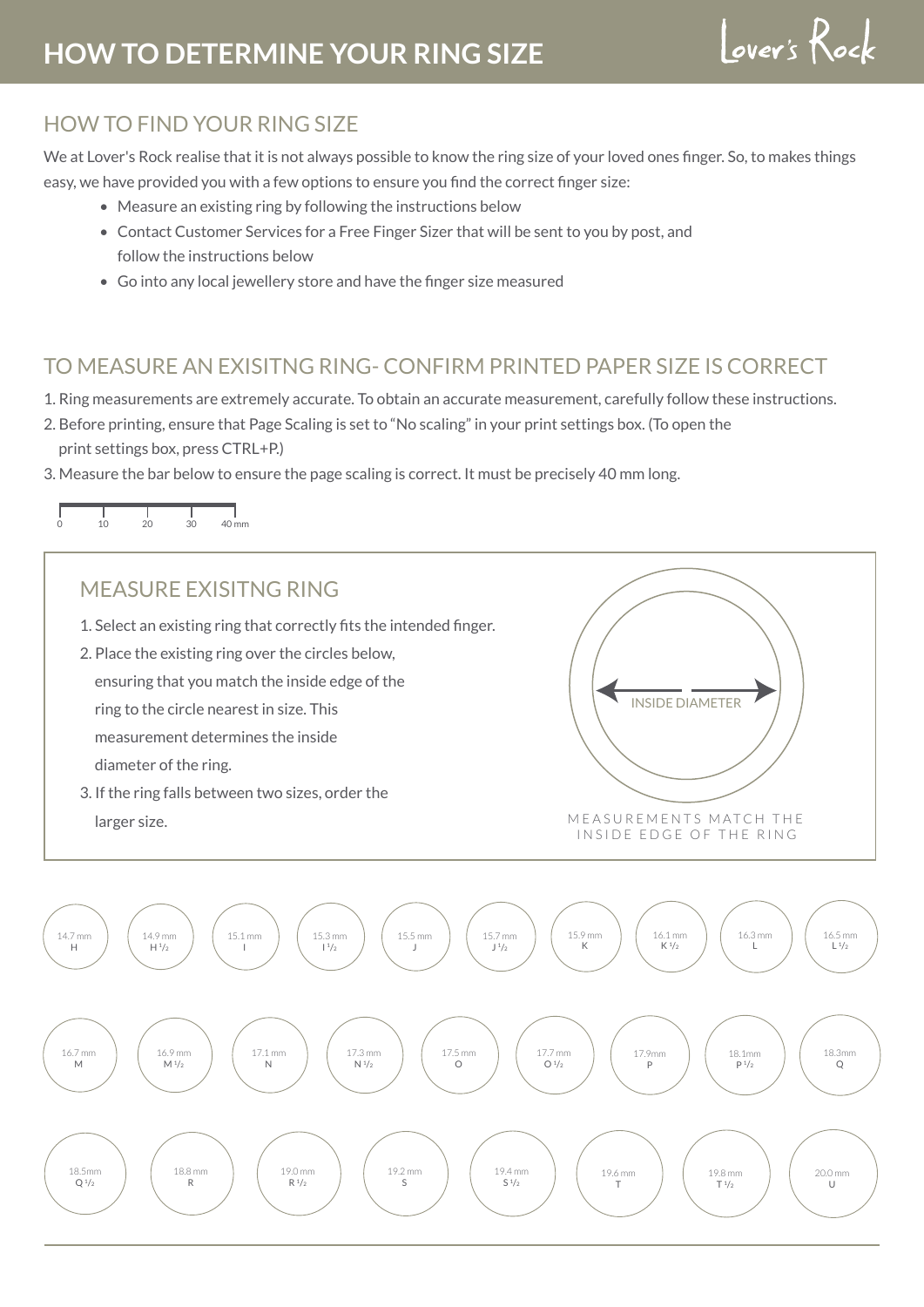# **HOW TO DETERMINE YOUR RING SIZE**

Lover's Rock

## HOW TO FIND YOUR RING SIZE

We at Lover's Rock realise that it is not always possible to know the ring size of your loved ones finger. So, to makes things easy, we have provided you with a few options to ensure you find the correct finger size:

- Measure an existing ring by following the instructions below
- Contact Customer Services for a Free Finger Sizer that will be sent to you by post, and follow the instructions below
- Go into any local jewellery store and have the finger size measured

### TO MEASURE AN EXISITNG RING- CONFIRM PRINTED PAPER SIZE IS CORRECT

- 1. Ring measurements are extremely accurate. To obtain an accurate measurement, carefully follow these instructions.
- 2. Before printing, ensure that Page Scaling is set to "No scaling" in your print settings box. (To open the print settings box, press CTRL+P.)
- 3. Measure the bar below to ensure the page scaling is correct. It must be precisely 40 mm long.